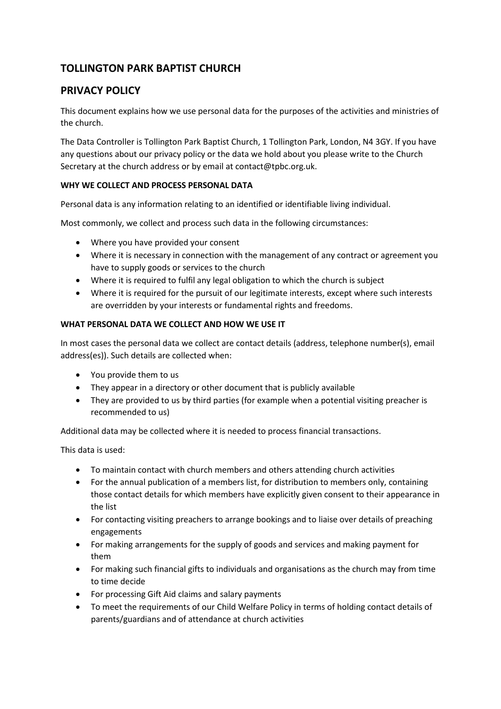# **TOLLINGTON PARK BAPTIST CHURCH**

# **PRIVACY POLICY**

This document explains how we use personal data for the purposes of the activities and ministries of the church.

The Data Controller is Tollington Park Baptist Church, 1 Tollington Park, London, N4 3GY. If you have any questions about our privacy policy or the data we hold about you please write to the Church Secretary at the church address or by email at contact@tpbc.org.uk.

## **WHY WE COLLECT AND PROCESS PERSONAL DATA**

Personal data is any information relating to an identified or identifiable living individual.

Most commonly, we collect and process such data in the following circumstances:

- Where you have provided your consent
- Where it is necessary in connection with the management of any contract or agreement you have to supply goods or services to the church
- Where it is required to fulfil any legal obligation to which the church is subject
- Where it is required for the pursuit of our legitimate interests, except where such interests are overridden by your interests or fundamental rights and freedoms.

### **WHAT PERSONAL DATA WE COLLECT AND HOW WE USE IT**

In most cases the personal data we collect are contact details (address, telephone number(s), email address(es)). Such details are collected when:

- You provide them to us
- They appear in a directory or other document that is publicly available
- They are provided to us by third parties (for example when a potential visiting preacher is recommended to us)

Additional data may be collected where it is needed to process financial transactions.

This data is used:

- To maintain contact with church members and others attending church activities
- For the annual publication of a members list, for distribution to members only, containing those contact details for which members have explicitly given consent to their appearance in the list
- For contacting visiting preachers to arrange bookings and to liaise over details of preaching engagements
- For making arrangements for the supply of goods and services and making payment for them
- For making such financial gifts to individuals and organisations as the church may from time to time decide
- For processing Gift Aid claims and salary payments
- To meet the requirements of our Child Welfare Policy in terms of holding contact details of parents/guardians and of attendance at church activities